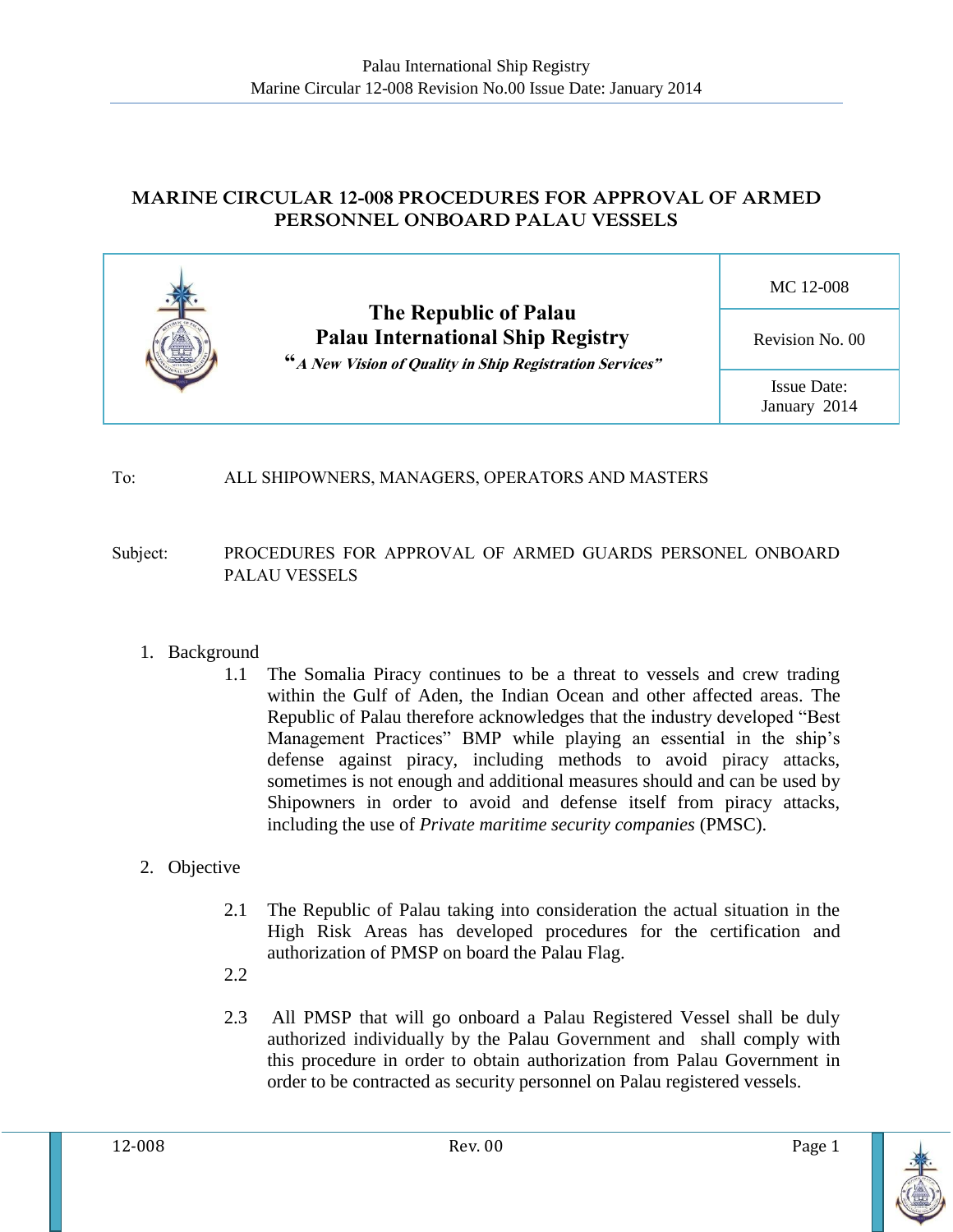## **MARINE CIRCULAR 12-008 PROCEDURES FOR APPROVAL OF ARMED PERSONNEL ONBOARD PALAU VESSELS**



### To: ALL SHIPOWNERS, MANAGERS, OPERATORS AND MASTERS

### Subject: PROCEDURES FOR APPROVAL OF ARMED GUARDS PERSONEL ONBOARD PALAU VESSELS

### 1. Background

1.1 The Somalia Piracy continues to be a threat to vessels and crew trading within the Gulf of Aden, the Indian Ocean and other affected areas. The Republic of Palau therefore acknowledges that the industry developed "Best Management Practices" BMP while playing an essential in the ship's defense against piracy, including methods to avoid piracy attacks, sometimes is not enough and additional measures should and can be used by Shipowners in order to avoid and defense itself from piracy attacks, including the use of *Private maritime security companies* (PMSC).

### 2. Objective

- 2.1 The Republic of Palau taking into consideration the actual situation in the High Risk Areas has developed procedures for the certification and authorization of PMSP on board the Palau Flag.
- 2.2
- 2.3 All PMSP that will go onboard a Palau Registered Vessel shall be duly authorized individually by the Palau Government and shall comply with this procedure in order to obtain authorization from Palau Government in order to be contracted as security personnel on Palau registered vessels.

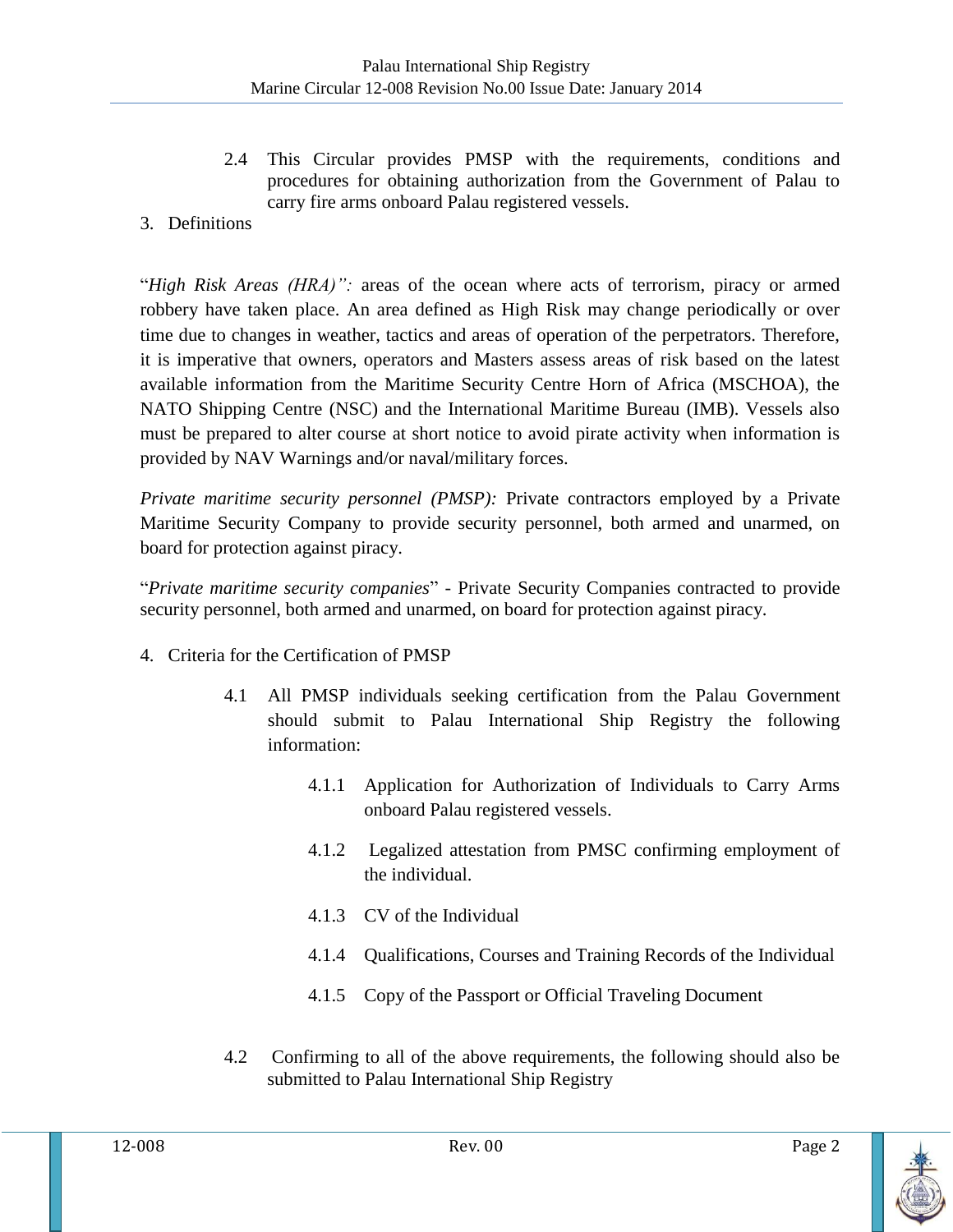- 2.4 This Circular provides PMSP with the requirements, conditions and procedures for obtaining authorization from the Government of Palau to carry fire arms onboard Palau registered vessels.
- 3. Definitions

"*High Risk Areas (HRA)":* areas of the ocean where acts of terrorism, piracy or armed robbery have taken place. An area defined as High Risk may change periodically or over time due to changes in weather, tactics and areas of operation of the perpetrators. Therefore, it is imperative that owners, operators and Masters assess areas of risk based on the latest available information from the Maritime Security Centre Horn of Africa (MSCHOA), the NATO Shipping Centre (NSC) and the International Maritime Bureau (IMB). Vessels also must be prepared to alter course at short notice to avoid pirate activity when information is provided by NAV Warnings and/or naval/military forces.

*Private maritime security personnel (PMSP):* Private contractors employed by a Private Maritime Security Company to provide security personnel, both armed and unarmed, on board for protection against piracy.

"*Private maritime security companies*" - Private Security Companies contracted to provide security personnel, both armed and unarmed, on board for protection against piracy.

- 4. Criteria for the Certification of PMSP
	- 4.1 All PMSP individuals seeking certification from the Palau Government should submit to Palau International Ship Registry the following information:
		- 4.1.1 Application for Authorization of Individuals to Carry Arms onboard Palau registered vessels.
		- 4.1.2 Legalized attestation from PMSC confirming employment of the individual.
		- 4.1.3 CV of the Individual
		- 4.1.4 Qualifications, Courses and Training Records of the Individual
		- 4.1.5 Copy of the Passport or Official Traveling Document
	- 4.2 Confirming to all of the above requirements, the following should also be submitted to Palau International Ship Registry